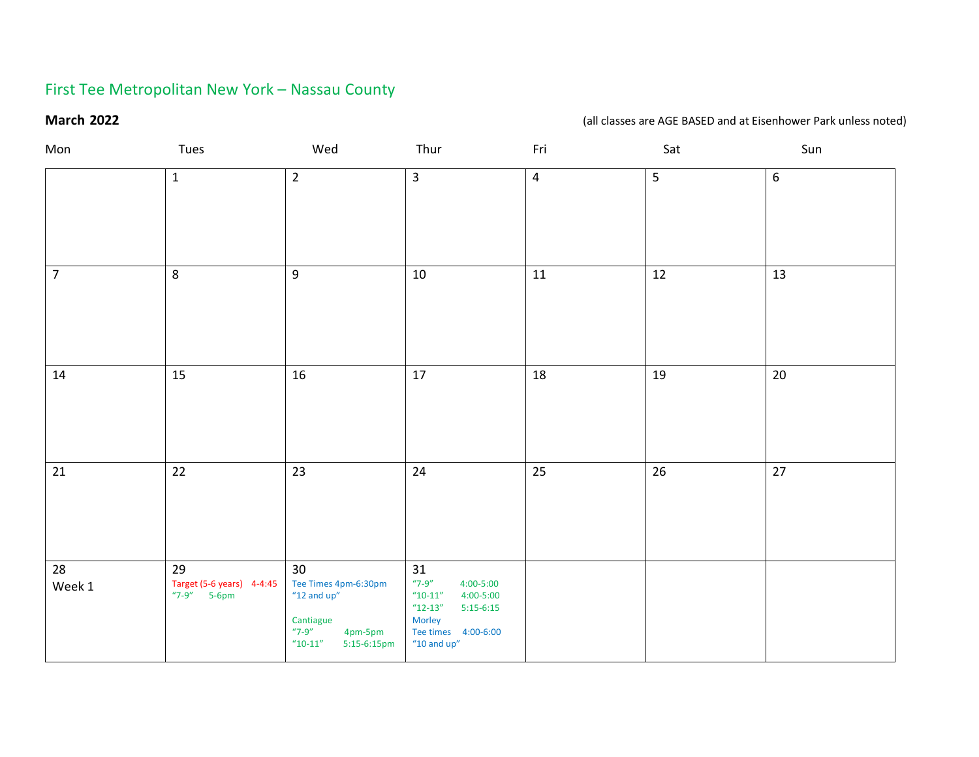# First Tee Metropolitan New York – Nassau County

### **March 2022 March 2022** *March* **2022** *March* **2022** *March* **2022** *March* **2022** *March* **2022** *March* **2022** *March* **2022** *March* **2022** *March* **2022** *March* **2022** *March* **2022** *March* **2022** *March* **2022**

| Mon             | Tues                                             | Wed                                                                                                                       | Thur                                                                                                                                                  | Fri                     | Sat | Sun              |
|-----------------|--------------------------------------------------|---------------------------------------------------------------------------------------------------------------------------|-------------------------------------------------------------------------------------------------------------------------------------------------------|-------------------------|-----|------------------|
|                 | $\mathbf 1$                                      | $\overline{2}$                                                                                                            | $\overline{3}$                                                                                                                                        | $\overline{\mathbf{4}}$ | 5   | $\boldsymbol{6}$ |
| $\overline{7}$  | $\,8\,$                                          | $9\,$                                                                                                                     | $10\,$                                                                                                                                                | $11\,$                  | 12  | 13               |
| 14              | 15                                               | 16                                                                                                                        | 17                                                                                                                                                    | 18                      | 19  | $20\,$           |
| $\overline{21}$ | $\overline{22}$                                  | 23                                                                                                                        | 24                                                                                                                                                    | $\overline{25}$         | 26  | $\overline{27}$  |
| 28<br>Week 1    | 29<br>Target (5-6 years) 4-4:45<br>$"7-9"$ 5-6pm | 30<br>Tee Times 4pm-6:30pm<br>$"12$ and up"<br>Cantiague<br>$"7-9"$<br>4pm-5pm<br>$^{\prime\prime}$ 10-11"<br>5:15-6:15pm | 31<br>$"7-9"$<br>$4:00 - 5:00$<br>$^{\prime\prime}$ 10-11"<br>4:00-5:00<br>$"12-13"$<br>$5:15-6:15$<br>Morley<br>Tee times 4:00-6:00<br>"10 and $up"$ |                         |     |                  |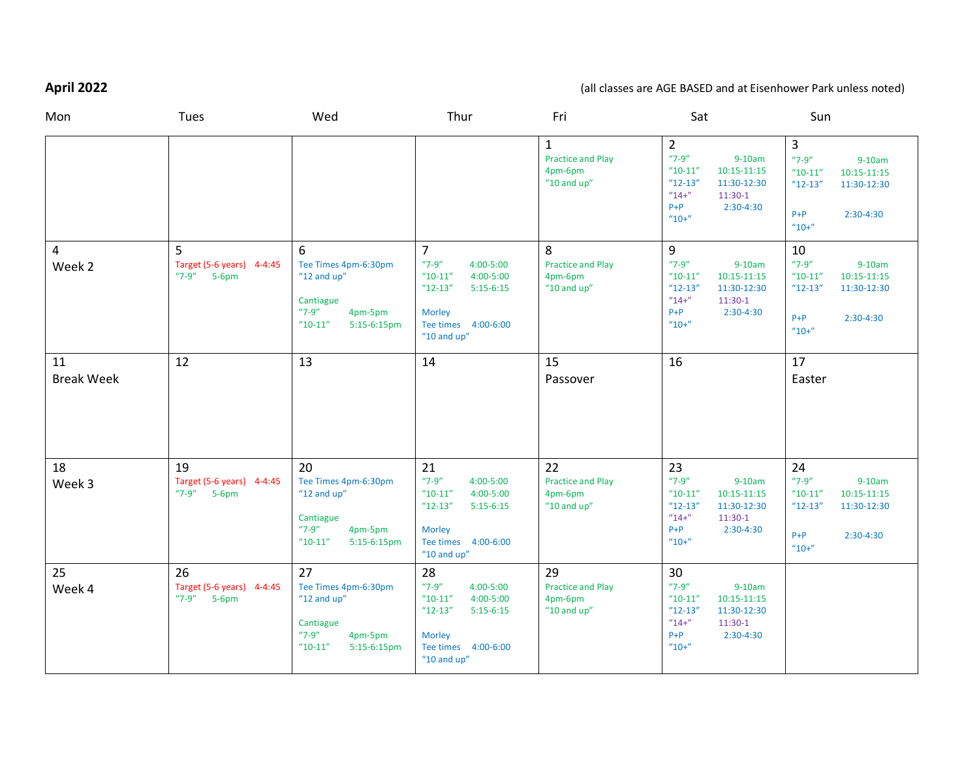# **April 2022** (all classes are AGE BASED and at Eisenhower Park unless noted)

| Mon                     | Tues                                                   | Wed                                                                                                         | Thur                                                                                                                                            | Fri                                                          | Sat                                                                                                                                                           | Sun                                                                                                                    |
|-------------------------|--------------------------------------------------------|-------------------------------------------------------------------------------------------------------------|-------------------------------------------------------------------------------------------------------------------------------------------------|--------------------------------------------------------------|---------------------------------------------------------------------------------------------------------------------------------------------------------------|------------------------------------------------------------------------------------------------------------------------|
|                         |                                                        |                                                                                                             |                                                                                                                                                 | 1<br><b>Practice and Play</b><br>4pm-6pm<br>"10 and $up$ "   | $\overline{2}$<br>$"7-9"$<br>$9-10am$<br>$"10-11"$<br>10:15-11:15<br>11:30-12:30<br>$"12-13"$<br>$"14+"$<br>$11:30-1$<br>$P + P$<br>$2:30-4:30$<br>$"10+"$    | 3<br>$"7-9"$<br>$9-10am$<br>$"10-11"$<br>10:15-11:15<br>$"12-13"$<br>11:30-12:30<br>$P + P$<br>$2:30-4:30$<br>$"10+"$  |
| 4<br>Week 2             | 5<br>Target (5-6 years) 4-4:45<br>"7-9" 5-6pm          | 6<br>Tee Times 4pm-6:30pm<br>"12 and $up$ "<br>Cantiague<br>$"7-9"$<br>4pm-5pm<br>$"10-11"$<br>5:15-6:15pm  | $\overline{7}$<br>$"7-9"$<br>4:00-5:00<br>$"10-11"$<br>4:00-5:00<br>$"12-13"$<br>$5:15-6:15$<br>Morley<br>Tee times 4:00-6:00<br>"10 and $up$ " | 8<br><b>Practice and Play</b><br>4pm-6pm<br>"10 and $up$ "   | 9<br>$"7-9"$<br>$9-10am$<br>$"10-11"$<br>10:15-11:15<br>$"12-13"$<br>11:30-12:30<br>$''14+''$<br>$11:30-1$<br>$2:30-4:30$<br>$P + P$<br>$"10+"$               | 10<br>$"7-9"$<br>$9-10am$<br>$"10-11"$<br>10:15-11:15<br>$"12-13"$<br>11:30-12:30<br>$P + P$<br>$2:30-4:30$<br>$"10+"$ |
| 11<br><b>Break Week</b> | 12                                                     | 13                                                                                                          | 14                                                                                                                                              | 15<br>Passover                                               | 16                                                                                                                                                            | 17<br>Easter                                                                                                           |
| 18<br>Week 3            | 19<br>Target (5-6 years) 4-4:45<br>$"7-9"$<br>$5-6$ pm | 20<br>Tee Times 4pm-6:30pm<br>"12 and $up$ "<br>Cantiague<br>$"7-9"$<br>4pm-5pm<br>$"10-11"$<br>5:15-6:15pm | 21<br>$"7-9"$<br>4:00-5:00<br>$"10-11"$<br>4:00-5:00<br>$"12-13"$<br>$5:15-6:15$<br>Morley<br>Tee times 4:00-6:00<br>$"10$ and up"              | 22<br><b>Practice and Play</b><br>4pm-6pm<br>"10 and $up$ "  | 23<br>$"7-9"$<br>$9-10am$<br>$^{\prime\prime}$ 10-11"<br>10:15-11:15<br>$"12-13"$<br>11:30-12:30<br>$"14+"$<br>$11:30-1$<br>$P + P$<br>$2:30-4:30$<br>$"10+"$ | 24<br>$"7-9"$<br>$9-10am$<br>$"10-11"$<br>10:15-11:15<br>$"12-13"$<br>11:30-12:30<br>$P + P$<br>$2:30-4:30$<br>$"10+"$ |
| 25<br>Week 4            | 26<br>Target (5-6 years) 4-4:45<br>"7-9" 5-6pm         | 27<br>Tee Times 4pm-6:30pm<br>"12 and $up$ "<br>Cantiague<br>$"7-9"$<br>4pm-5pm<br>$"10-11"$<br>5:15-6:15pm | 28<br>$"7-9"$<br>4:00-5:00<br>$"10-11"$<br>4:00-5:00<br>$"12-13"$<br>$5:15-6:15$<br>Morley<br>Tee times 4:00-6:00<br>"10 and $up$ "             | 29<br><b>Practice and Play</b><br>4pm-6pm<br>$"10$ and $up"$ | 30<br>$"7-9"$<br>$9-10am$<br>$"10-11"$<br>10:15-11:15<br>$"12-13"$<br>11:30-12:30<br>$''14+''$<br>$11:30-1$<br>$P + P$<br>$2:30-4:30$<br>$"10+"$              |                                                                                                                        |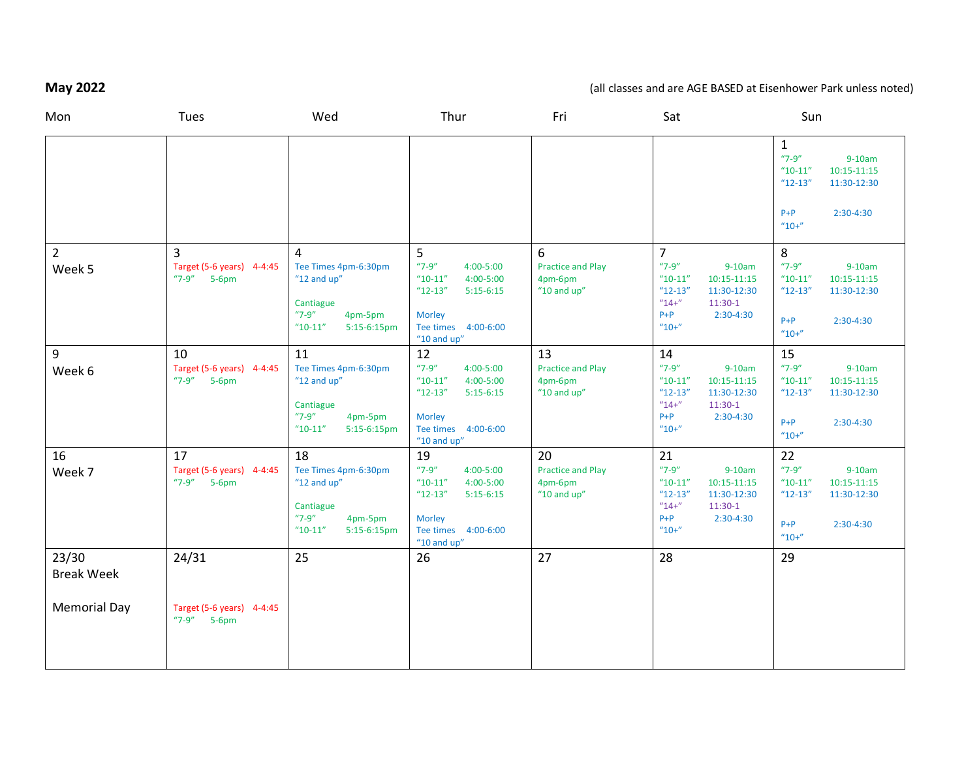# **May 2022** 2022 **and are AGE BASED** at Eisenhower Park unless noted)

| Mon                        | Tues                                            | Wed                                                                                                            | Thur                                                                                                                                          | Fri                                                         | Sat                                                                                                                                            | Sun                                                                                                                                  |
|----------------------------|-------------------------------------------------|----------------------------------------------------------------------------------------------------------------|-----------------------------------------------------------------------------------------------------------------------------------------------|-------------------------------------------------------------|------------------------------------------------------------------------------------------------------------------------------------------------|--------------------------------------------------------------------------------------------------------------------------------------|
|                            |                                                 |                                                                                                                |                                                                                                                                               |                                                             |                                                                                                                                                | $\mathbf{1}$<br>$"7-9"$<br>$9-10am$<br>$10:15 - 11:15$<br>$"10-11"$<br>11:30-12:30<br>$"12-13"$<br>$2:30-4:30$<br>$P + P$<br>$"10+"$ |
| $\overline{2}$             | 3                                               | 4                                                                                                              | 5                                                                                                                                             | 6                                                           | $\overline{7}$                                                                                                                                 | 8                                                                                                                                    |
| Week 5                     | Target (5-6 years) 4-4:45<br>$"7-9"$<br>$5-6pm$ | Tee Times 4pm-6:30pm<br>"12 and $up$ "<br>Cantiague<br>$"7-9"$<br>4pm-5pm<br>$"10-11"$<br>5:15-6:15pm          | $"7-9"$<br>4:00-5:00<br>$"10-11"$<br>4:00-5:00<br>$"12-13"$<br>$5:15-6:15$<br><b>Morley</b><br>Tee times 4:00-6:00<br>"10 and $up$ "          | <b>Practice and Play</b><br>4pm-6pm<br>"10 and $up$ "       | $"7-9"$<br>$9-10am$<br>$"10-11"$<br>10:15-11:15<br>$"12-13"$<br>11:30-12:30<br>$"14+'$<br>$11:30-1$<br>$P + P$<br>$2:30-4:30$<br>$"10+"$       | $"7-9"$<br>$9-10am$<br>$"10-11"$<br>$10:15 - 11:15$<br>$"12-13"$<br>11:30-12:30<br>$P + P$<br>$2:30-4:30$<br>$''10+''$               |
| 9<br>Week 6                | 10<br>Target (5-6 years) 4-4:45<br>"7-9" 5-6pm  | 11<br>Tee Times 4pm-6:30pm<br>"12 and $up$ "<br>Cantiague<br>$"7-9"$<br>4pm-5pm<br>$"10-11"$<br>$5:15-6:15$ pm | 12<br>$"7-9"$<br>$4:00 - 5:00$<br>4:00-5:00<br>$"10-11"$<br>$"12-13"$<br>$5:15-6:15$<br><b>Morley</b><br>Tee times 4:00-6:00<br>$"10$ and up" | 13<br><b>Practice and Play</b><br>4pm-6pm<br>"10 and $up$ " | 14<br>$"7-9"$<br>$9-10am$<br>$"10-11"$<br>10:15-11:15<br>$"12-13"$<br>11:30-12:30<br>$"14+"$<br>$11:30-1$<br>$P + P$<br>$2:30-4:30$<br>$"10+"$ | 15<br>$"7-9"$<br>$9-10am$<br>$10:15 - 11:15$<br>$"10-11"$<br>11:30-12:30<br>$"12-13"$<br>$P + P$<br>$2:30-4:30$<br>$"10+"$           |
| 16                         | 17                                              | 18                                                                                                             | 19                                                                                                                                            | 20                                                          | 21                                                                                                                                             | 22                                                                                                                                   |
| Week 7                     | Target (5-6 years) 4-4:45<br>$"7-9"$<br>$5-6pm$ | Tee Times 4pm-6:30pm<br>"12 and $up$ "<br>Cantiague<br>$"7-9"$<br>4pm-5pm<br>$"10-11"$<br>$5:15-6:15$ pm       | $"7-9"$<br>4:00-5:00<br>$"10-11"$<br>$4:00 - 5:00$<br>$"12-13"$<br>$5:15-6:15$<br><b>Morley</b><br>Tee times 4:00-6:00<br>"10 and $up$ "      | <b>Practice and Play</b><br>4pm-6pm<br>"10 and $up$ "       | $"7-9"$<br>$9-10am$<br>$"10-11"$<br>$10:15 - 11:15$<br>$"12-13"$<br>11:30-12:30<br>$''14+''$<br>$11:30-1$<br>$P + P$<br>$2:30-4:30$<br>$"10+"$ | $"7-9"$<br>$9-10am$<br>$"10-11"$<br>$10:15 - 11:15$<br>$"12-13"$<br>11:30-12:30<br>$P + P$<br>$2:30-4:30$<br>$"10+"$                 |
| 23/30<br><b>Break Week</b> | 24/31                                           | 25                                                                                                             | 26                                                                                                                                            | 27                                                          | 28                                                                                                                                             | 29                                                                                                                                   |
| <b>Memorial Day</b>        | Target (5-6 years) 4-4:45<br>$"7-9"$ 5-6pm      |                                                                                                                |                                                                                                                                               |                                                             |                                                                                                                                                |                                                                                                                                      |